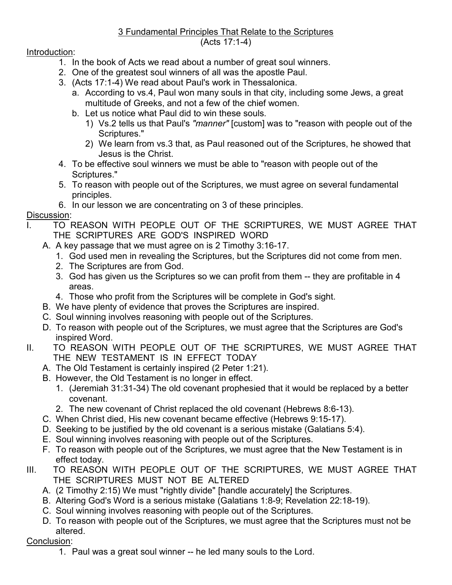## 3 Fundamental Principles That Relate to the Scriptures (Acts 17:1-4)

Introduction:

- 1. In the book of Acts we read about a number of great soul winners.
- 2. One of the greatest soul winners of all was the apostle Paul.
- 3. (Acts 17:1-4) We read about Paul's work in Thessalonica.
	- a. According to vs.4, Paul won many souls in that city, including some Jews, a great multitude of Greeks, and not a few of the chief women.
	- b. Let us notice what Paul did to win these souls.
		- 1) Vs.2 tells us that Paul's *"manner"* [custom] was to "reason with people out of the Scriptures."
		- 2) We learn from vs.3 that, as Paul reasoned out of the Scriptures, he showed that Jesus is the Christ.
- 4. To be effective soul winners we must be able to "reason with people out of the Scriptures."
- 5. To reason with people out of the Scriptures, we must agree on several fundamental principles.
- 6. In our lesson we are concentrating on 3 of these principles.

## Discussion:

- TO REASON WITH PEOPLE OUT OF THE SCRIPTURES, WE MUST AGREE THAT THE SCRIPTURES ARE GOD'S INSPIRED WORD
	- A. A key passage that we must agree on is 2 Timothy 3:16-17.
		- 1. God used men in revealing the Scriptures, but the Scriptures did not come from men.
		- 2. The Scriptures are from God.
		- 3. God has given us the Scriptures so we can profit from them -- they are profitable in 4 areas.
		- 4. Those who profit from the Scriptures will be complete in God's sight.
	- B. We have plenty of evidence that proves the Scriptures are inspired.
	- C. Soul winning involves reasoning with people out of the Scriptures.
	- D. To reason with people out of the Scriptures, we must agree that the Scriptures are God's inspired Word.
- II. TO REASON WITH PEOPLE OUT OF THE SCRIPTURES, WE MUST AGREE THAT THE NEW TESTAMENT IS IN EFFECT TODAY
	- A. The Old Testament is certainly inspired (2 Peter 1:21).
	- B. However, the Old Testament is no longer in effect.
		- 1. (Jeremiah 31:31-34) The old covenant prophesied that it would be replaced by a better covenant.
		- 2. The new covenant of Christ replaced the old covenant (Hebrews 8:6-13).
	- C. When Christ died, His new covenant became effective (Hebrews 9:15-17).
	- D. Seeking to be justified by the old covenant is a serious mistake (Galatians 5:4).
	- E. Soul winning involves reasoning with people out of the Scriptures.
	- F. To reason with people out of the Scriptures, we must agree that the New Testament is in effect today.
- III. TO REASON WITH PEOPLE OUT OF THE SCRIPTURES, WE MUST AGREE THAT THE SCRIPTURES MUST NOT BE ALTERED
	- A. (2 Timothy 2:15) We must "rightly divide" [handle accurately] the Scriptures.
	- B. Altering God's Word is a serious mistake (Galatians 1:8-9; Revelation 22:18-19).
	- C. Soul winning involves reasoning with people out of the Scriptures.
	- D. To reason with people out of the Scriptures, we must agree that the Scriptures must not be altered.

## Conclusion:

1. Paul was a great soul winner -- he led many souls to the Lord.